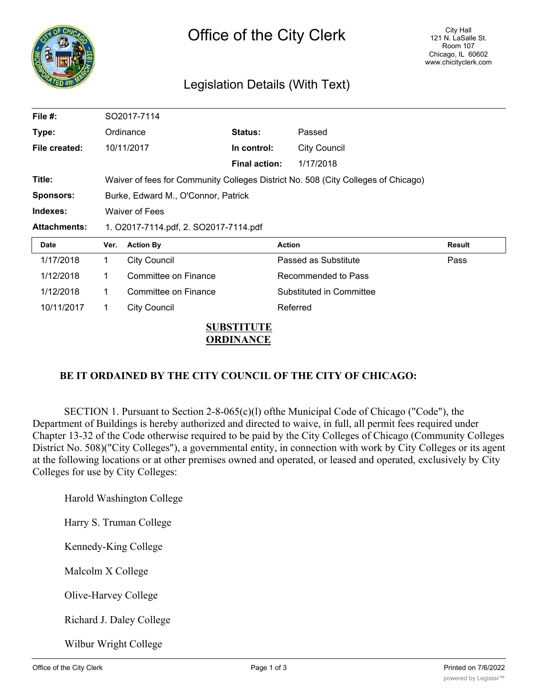

# Legislation Details (With Text)

| File #:             | SO2017-7114                                                                       |                      |                      |                          |        |
|---------------------|-----------------------------------------------------------------------------------|----------------------|----------------------|--------------------------|--------|
| Type:               |                                                                                   | Ordinance            | Status:              | Passed                   |        |
| File created:       |                                                                                   | 10/11/2017           | In control:          | <b>City Council</b>      |        |
|                     |                                                                                   |                      | <b>Final action:</b> | 1/17/2018                |        |
| Title:              | Waiver of fees for Community Colleges District No. 508 (City Colleges of Chicago) |                      |                      |                          |        |
| <b>Sponsors:</b>    | Burke, Edward M., O'Connor, Patrick                                               |                      |                      |                          |        |
| Indexes:            | <b>Waiver of Fees</b>                                                             |                      |                      |                          |        |
| <b>Attachments:</b> | 1. O2017-7114.pdf, 2. SO2017-7114.pdf                                             |                      |                      |                          |        |
| Date                | Ver.                                                                              | <b>Action By</b>     |                      | <b>Action</b>            | Result |
| 1/17/2018           |                                                                                   |                      |                      |                          |        |
|                     | $\mathbf 1$                                                                       | <b>City Council</b>  |                      | Passed as Substitute     | Pass   |
| 1/12/2018           | 1.                                                                                | Committee on Finance |                      | Recommended to Pass      |        |
| 1/12/2018           | 1.                                                                                | Committee on Finance |                      | Substituted in Committee |        |
| 10/11/2017          | 1.                                                                                | <b>City Council</b>  |                      | Referred                 |        |

## **SUBSTITUTE ORDINANCE**

# **BE IT ORDAINED BY THE CITY COUNCIL OF THE CITY OF CHICAGO:**

SECTION 1. Pursuant to Section 2-8-065(c)(l) ofthe Municipal Code of Chicago ("Code"), the Department of Buildings is hereby authorized and directed to waive, in full, all permit fees required under Chapter 13-32 of the Code otherwise required to be paid by the City Colleges of Chicago (Community Colleges District No. 508)("City Colleges"), a governmental entity, in connection with work by City Colleges or its agent at the following locations or at other premises owned and operated, or leased and operated, exclusively by City Colleges for use by City Colleges:

Harold Washington College

Harry S. Truman College

Kennedy-King College

Malcolm X College

Olive-Harvey College

Richard J. Daley College

Wilbur Wright College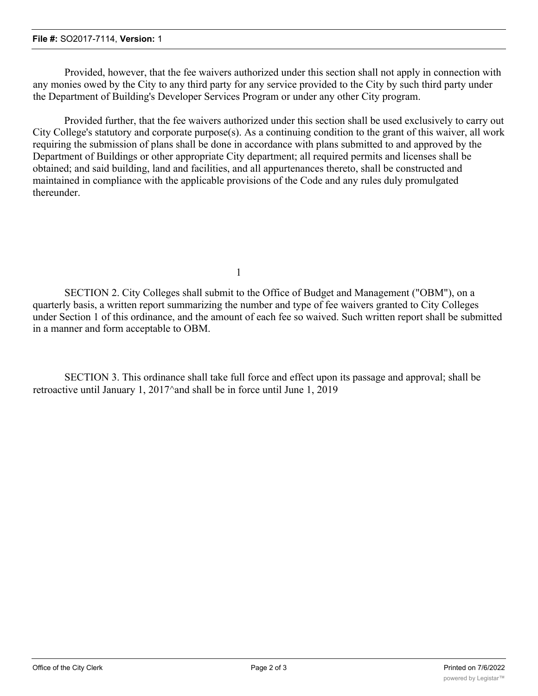#### **File #:** SO2017-7114, **Version:** 1

Provided, however, that the fee waivers authorized under this section shall not apply in connection with any monies owed by the City to any third party for any service provided to the City by such third party under the Department of Building's Developer Services Program or under any other City program.

Provided further, that the fee waivers authorized under this section shall be used exclusively to carry out City College's statutory and corporate purpose(s). As a continuing condition to the grant of this waiver, all work requiring the submission of plans shall be done in accordance with plans submitted to and approved by the Department of Buildings or other appropriate City department; all required permits and licenses shall be obtained; and said building, land and facilities, and all appurtenances thereto, shall be constructed and maintained in compliance with the applicable provisions of the Code and any rules duly promulgated thereunder.

1

SECTION 2. City Colleges shall submit to the Office of Budget and Management ("OBM"), on a quarterly basis, a written report summarizing the number and type of fee waivers granted to City Colleges under Section 1 of this ordinance, and the amount of each fee so waived. Such written report shall be submitted in a manner and form acceptable to OBM.

SECTION 3. This ordinance shall take full force and effect upon its passage and approval; shall be retroactive until January 1, 2017^and shall be in force until June 1, 2019